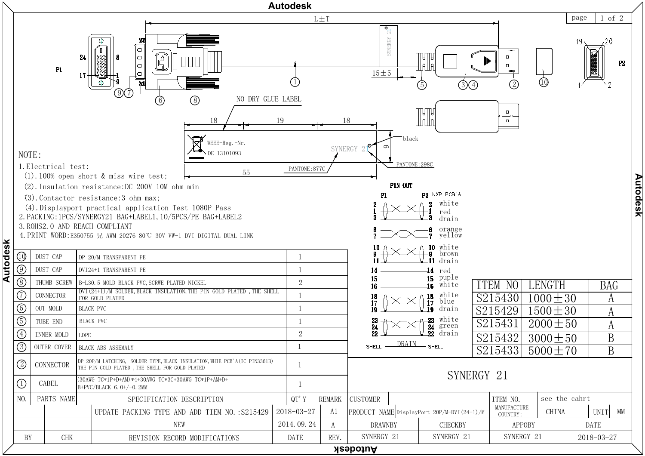